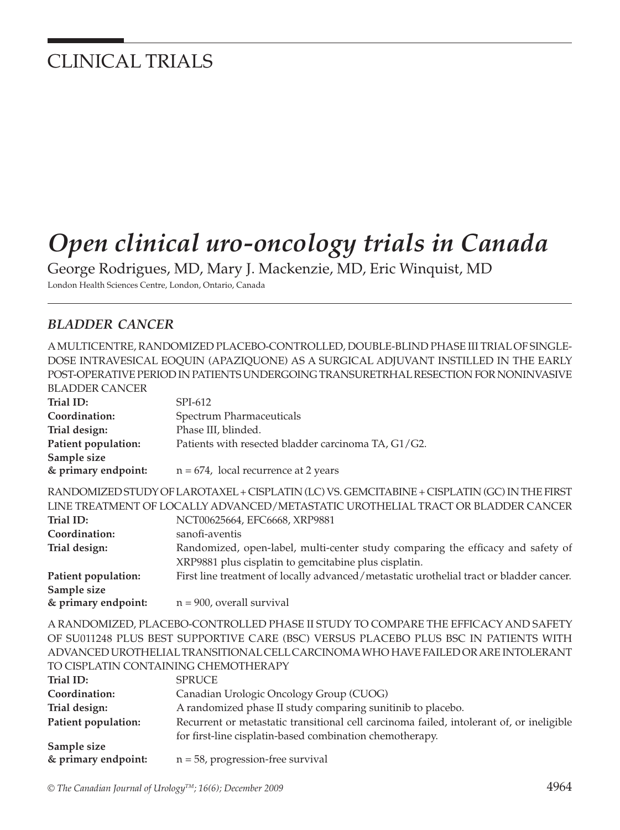# CLINICAL TRIALS

# *Open clinical uro-oncology trials in Canada*

George Rodrigues, MD, Mary J. Mackenzie, MD, Eric Winquist, MD London Health Sciences Centre, London, Ontario, Canada

#### *BLADDER CANCER*

A MULTICENTRE, RANDOMIZED PLACEBO-CONTROLLED, DOUBLE-BLIND PHASE III TRIAL OF SINGLE-DOSE INTRAVESICAL EOQUIN (APAZIQUONE) AS A SURGICAL ADJUVANT INSTILLED IN THE EARLY POST-OPERATIVE PERIOD IN PATIENTS UNDERGOING TRANSURETRHAL RESECTION FOR NONINVASIVE BLADDER CANCER

| Trial ID:                                                                         | SPI-612                                                                                      |
|-----------------------------------------------------------------------------------|----------------------------------------------------------------------------------------------|
| Coordination:                                                                     | Spectrum Pharmaceuticals                                                                     |
| Trial design:                                                                     | Phase III, blinded.                                                                          |
| Patient population:                                                               | Patients with resected bladder carcinoma TA, G1/G2.                                          |
| Sample size                                                                       |                                                                                              |
| & primary endpoint:                                                               | $n = 674$ , local recurrence at 2 years                                                      |
|                                                                                   | RANDOMIZED STUDY OF LAROTAXEL + CISPLATIN (LC) VS. GEMCITABINE + CISPLATIN (GC) IN THE FIRST |
|                                                                                   | LINE TREATMENT OF LOCALLY ADVANCED/METASTATIC UROTHELIAL TRACT OR BLADDER CANCER             |
| Trial ID:                                                                         | NCT00625664, EFC6668, XRP9881                                                                |
| Coordination:                                                                     | sanofi-aventis                                                                               |
| Trial design:                                                                     | Randomized, open-label, multi-center study comparing the efficacy and safety of              |
|                                                                                   | XRP9881 plus cisplatin to gemcitabine plus cisplatin.                                        |
| Patient population:                                                               | First line treatment of locally advanced/metastatic urothelial tract or bladder cancer.      |
| Sample size                                                                       |                                                                                              |
| & primary endpoint:                                                               | $n = 900$ , overall survival                                                                 |
|                                                                                   | A RANDOMIZED, PLACEBO-CONTROLLED PHASE II STUDY TO COMPARE THE EFFICACY AND SAFETY           |
|                                                                                   | OF SU011248 PLUS BEST SUPPORTIVE CARE (BSC) VERSUS PLACEBO PLUS BSC IN PATIENTS WITH         |
| ADVANCED UROTHELIAL TRANSITIONAL CELL CARCINOMA WHO HAVE FAILED OR ARE INTOLERANT |                                                                                              |
| TO CISPLATIN CONTAINING CHEMOTHERAPY                                              |                                                                                              |
| Trial ID:                                                                         | <b>SPRUCE</b>                                                                                |
| Coordination:                                                                     | Canadian Urologic Oncology Group (CUOG)                                                      |
| Trial design:                                                                     | A randomized phase II study comparing sunitinib to placebo.                                  |
| Patient population:                                                               | Recurrent or metastatic transitional cell carcinoma failed, intolerant of, or ineligible     |
|                                                                                   | for first-line cisplatin-based combination chemotherapy.                                     |
| Sample size                                                                       |                                                                                              |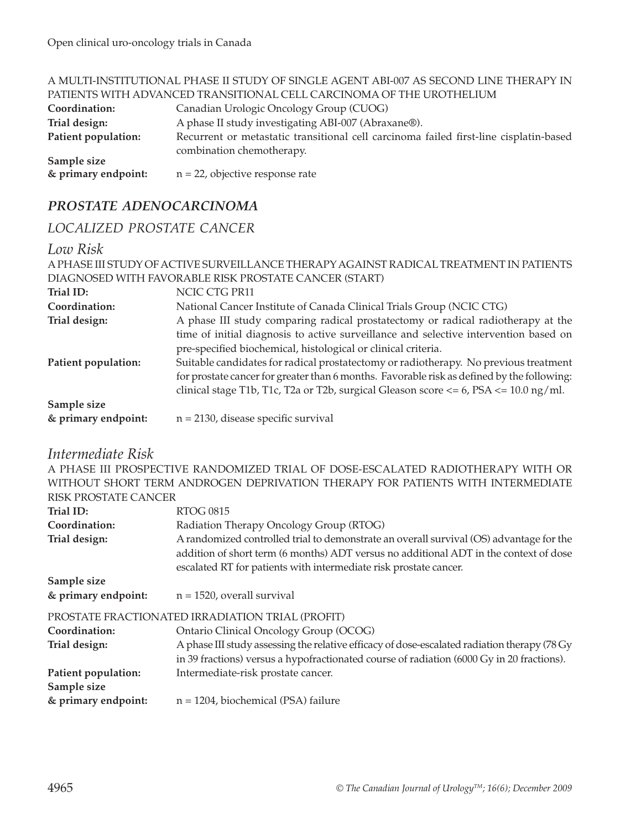|                                                                      | A MULTI-INSTITUTIONAL PHASE II STUDY OF SINGLE AGENT ABI-007 AS SECOND LINE THERAPY IN |  |
|----------------------------------------------------------------------|----------------------------------------------------------------------------------------|--|
| PATIENTS WITH ADVANCED TRANSITIONAL CELL CARCINOMA OF THE UROTHELIUM |                                                                                        |  |
| Coordination:                                                        | Canadian Urologic Oncology Group (CUOG)                                                |  |
| Trial design:                                                        | A phase II study investigating ABI-007 (Abraxane®).                                    |  |
| Patient population:                                                  | Recurrent or metastatic transitional cell carcinoma failed first-line cisplatin-based  |  |
|                                                                      | combination chemotherapy.                                                              |  |
| Sample size                                                          |                                                                                        |  |
| & primary endpoint:                                                  | $n = 22$ , objective response rate                                                     |  |

# *PROSTATE ADENOCARCINOMA*

#### *LOCALIZED PROSTATE CANCER*

#### *Low Risk*

| A PHASE III STUDY OF ACTIVE SURVEILLANCE THERAPY AGAINST RADICAL TREATMENT IN PATIENTS |                                                                                               |  |
|----------------------------------------------------------------------------------------|-----------------------------------------------------------------------------------------------|--|
| DIAGNOSED WITH FAVORABLE RISK PROSTATE CANCER (START)                                  |                                                                                               |  |
| Trial ID:                                                                              | NCIC CTG PR11                                                                                 |  |
| Coordination:                                                                          | National Cancer Institute of Canada Clinical Trials Group (NCIC CTG)                          |  |
| Trial design:                                                                          | A phase III study comparing radical prostatectomy or radical radiotherapy at the              |  |
|                                                                                        | time of initial diagnosis to active surveillance and selective intervention based on          |  |
|                                                                                        | pre-specified biochemical, histological or clinical criteria.                                 |  |
| Patient population:                                                                    | Suitable candidates for radical prostatectomy or radiotherapy. No previous treatment          |  |
|                                                                                        | for prostate cancer for greater than 6 months. Favorable risk as defined by the following:    |  |
|                                                                                        | clinical stage T1b, T1c, T2a or T2b, surgical Gleason score $\lt= 6$ , PSA $\lt= 10.0$ ng/ml. |  |
| Sample size                                                                            |                                                                                               |  |
| & primary endpoint:                                                                    | $n = 2130$ , disease specific survival                                                        |  |

### *Intermediate Risk*

A PHASE III PROSPECTIVE RANDOMIZED TRIAL OF DOSE-ESCALATED RADIOTHERAPY WITH OR WITHOUT SHORT TERM ANDROGEN DEPRIVATION THERAPY FOR PATIENTS WITH INTERMEDIATE RISK PROSTATE CANCER

| Trial ID:           | <b>RTOG 0815</b>                                                                                                                                           |
|---------------------|------------------------------------------------------------------------------------------------------------------------------------------------------------|
| Coordination:       | Radiation Therapy Oncology Group (RTOG)                                                                                                                    |
| Trial design:       | A randomized controlled trial to demonstrate an overall survival (OS) advantage for the                                                                    |
|                     | addition of short term (6 months) ADT versus no additional ADT in the context of dose<br>escalated RT for patients with intermediate risk prostate cancer. |
| Sample size         |                                                                                                                                                            |
| & primary endpoint: | $n = 1520$ , overall survival                                                                                                                              |
|                     | PROSTATE FRACTIONATED IRRADIATION TRIAL (PROFIT)                                                                                                           |
| Coordination:       | Ontario Clinical Oncology Group (OCOG)                                                                                                                     |
| Trial design:       | A phase III study assessing the relative efficacy of dose-escalated radiation therapy (78 Gy                                                               |
|                     | in 39 fractions) versus a hypofractionated course of radiation (6000 Gy in 20 fractions).                                                                  |
| Patient population: | Intermediate-risk prostate cancer.                                                                                                                         |
| Sample size         |                                                                                                                                                            |
| & primary endpoint: | $n = 1204$ , biochemical (PSA) failure                                                                                                                     |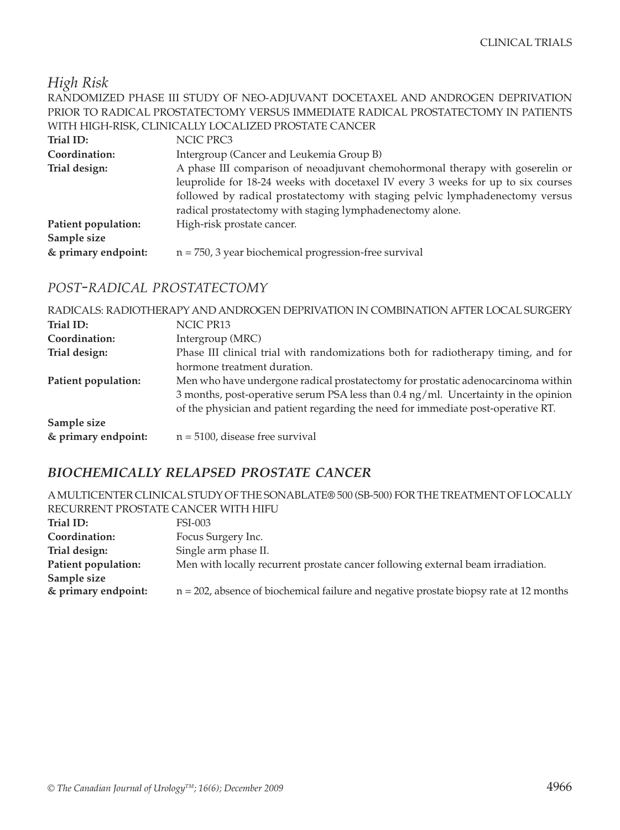*High Risk*

|                                                                                   | RANDOMIZED PHASE III STUDY OF NEO-ADJUVANT DOCETAXEL AND ANDROGEN DEPRIVATION    |  |
|-----------------------------------------------------------------------------------|----------------------------------------------------------------------------------|--|
| PRIOR TO RADICAL PROSTATECTOMY VERSUS IMMEDIATE RADICAL PROSTATECTOMY IN PATIENTS |                                                                                  |  |
| WITH HIGH-RISK, CLINICALLY LOCALIZED PROSTATE CANCER                              |                                                                                  |  |
| Trial ID:                                                                         | NCIC PRC3                                                                        |  |
| Coordination:                                                                     | Intergroup (Cancer and Leukemia Group B)                                         |  |
| Trial design:                                                                     | A phase III comparison of neoadjuvant chemohormonal therapy with goserelin or    |  |
|                                                                                   | leuprolide for 18-24 weeks with docetaxel IV every 3 weeks for up to six courses |  |
|                                                                                   | followed by radical prostatectomy with staging pelvic lymphadenectomy versus     |  |
|                                                                                   | radical prostatectomy with staging lymphadenectomy alone.                        |  |
| Patient population:                                                               | High-risk prostate cancer.                                                       |  |
| Sample size                                                                       |                                                                                  |  |
| & primary endpoint:                                                               | $n = 750$ , 3 year biochemical progression-free survival                         |  |
|                                                                                   |                                                                                  |  |

#### *POST-RADICAL PROSTATECTOMY*

|                     | RADICALS: RADIOTHERAPY AND ANDROGEN DEPRIVATION IN COMBINATION AFTER LOCAL SURGERY |
|---------------------|------------------------------------------------------------------------------------|
| Trial ID:           | NCIC PR13                                                                          |
| Coordination:       | Intergroup (MRC)                                                                   |
| Trial design:       | Phase III clinical trial with randomizations both for radiotherapy timing, and for |
|                     | hormone treatment duration.                                                        |
| Patient population: | Men who have undergone radical prostatectomy for prostatic adenocarcinoma within   |
|                     | 3 months, post-operative serum PSA less than 0.4 ng/ml. Uncertainty in the opinion |
|                     | of the physician and patient regarding the need for immediate post-operative RT.   |
| Sample size         |                                                                                    |
| & primary endpoint: | $n = 5100$ , disease free survival                                                 |

#### *BIOCHEMICALLY RELAPSED PROSTATE CANCER*

| A MULTICENTER CLINICAL STUDY OF THE SONABLATE® 500 (SB-500) FOR THE TREATMENT OF LOCALLY |                                                                                           |
|------------------------------------------------------------------------------------------|-------------------------------------------------------------------------------------------|
| RECURRENT PROSTATE CANCER WITH HIFU                                                      |                                                                                           |
| Trial ID:                                                                                | <b>FSI-003</b>                                                                            |
| Coordination:                                                                            | Focus Surgery Inc.                                                                        |
| Trial design:                                                                            | Single arm phase II.                                                                      |
| Patient population:                                                                      | Men with locally recurrent prostate cancer following external beam irradiation.           |
| Sample size                                                                              |                                                                                           |
| & primary endpoint:                                                                      | $n = 202$ , absence of biochemical failure and negative prostate biopsy rate at 12 months |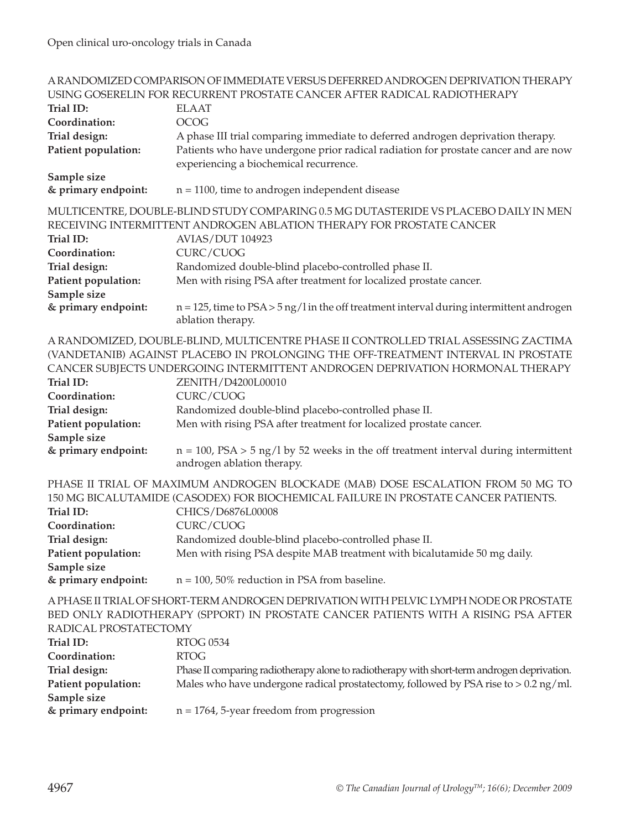| A RANDOMIZED COMPARISON OF IMMEDIATE VERSUS DEFERRED ANDROGEN DEPRIVATION THERAPY<br>USING GOSERELIN FOR RECURRENT PROSTATE CANCER AFTER RADICAL RADIOTHERAPY |                                                                                                                                                                          |
|---------------------------------------------------------------------------------------------------------------------------------------------------------------|--------------------------------------------------------------------------------------------------------------------------------------------------------------------------|
| Trial ID:                                                                                                                                                     | <b>ELAAT</b>                                                                                                                                                             |
| Coordination:                                                                                                                                                 | <b>OCOG</b>                                                                                                                                                              |
| Trial design:                                                                                                                                                 | A phase III trial comparing immediate to deferred androgen deprivation therapy.                                                                                          |
| Patient population:                                                                                                                                           | Patients who have undergone prior radical radiation for prostate cancer and are now                                                                                      |
|                                                                                                                                                               | experiencing a biochemical recurrence.                                                                                                                                   |
| Sample size                                                                                                                                                   |                                                                                                                                                                          |
| & primary endpoint:                                                                                                                                           | $n = 1100$ , time to androgen independent disease                                                                                                                        |
|                                                                                                                                                               |                                                                                                                                                                          |
|                                                                                                                                                               | MULTICENTRE, DOUBLE-BLIND STUDY COMPARING 0.5 MG DUTASTERIDE VS PLACEBO DAILY IN MEN                                                                                     |
|                                                                                                                                                               | RECEIVING INTERMITTENT ANDROGEN ABLATION THERAPY FOR PROSTATE CANCER                                                                                                     |
| Trial ID:                                                                                                                                                     | <b>AVIAS/DUT 104923</b>                                                                                                                                                  |
| Coordination:                                                                                                                                                 | CURC/CUOG                                                                                                                                                                |
| Trial design:                                                                                                                                                 | Randomized double-blind placebo-controlled phase II.                                                                                                                     |
| Patient population:                                                                                                                                           | Men with rising PSA after treatment for localized prostate cancer.                                                                                                       |
| Sample size                                                                                                                                                   |                                                                                                                                                                          |
| & primary endpoint:                                                                                                                                           | $n = 125$ , time to $PSA > 5$ ng/l in the off treatment interval during intermittent androgen                                                                            |
|                                                                                                                                                               | ablation therapy.                                                                                                                                                        |
|                                                                                                                                                               |                                                                                                                                                                          |
|                                                                                                                                                               | A RANDOMIZED, DOUBLE-BLIND, MULTICENTRE PHASE II CONTROLLED TRIAL ASSESSING ZACTIMA<br>(VANDETANIB) AGAINST PLACEBO IN PROLONGING THE OFF-TREATMENT INTERVAL IN PROSTATE |
|                                                                                                                                                               |                                                                                                                                                                          |
|                                                                                                                                                               | CANCER SUBJECTS UNDERGOING INTERMITTENT ANDROGEN DEPRIVATION HORMONAL THERAPY                                                                                            |
| Trial ID:                                                                                                                                                     | ZENITH/D4200L00010                                                                                                                                                       |
| Coordination:                                                                                                                                                 | CURC/CUOG                                                                                                                                                                |
| Trial design:                                                                                                                                                 | Randomized double-blind placebo-controlled phase II.                                                                                                                     |
| Patient population:                                                                                                                                           | Men with rising PSA after treatment for localized prostate cancer.                                                                                                       |
| Sample size                                                                                                                                                   |                                                                                                                                                                          |
| & primary endpoint:                                                                                                                                           | $n = 100$ , PSA > 5 ng/l by 52 weeks in the off treatment interval during intermittent                                                                                   |
|                                                                                                                                                               | androgen ablation therapy.                                                                                                                                               |
|                                                                                                                                                               | PHASE II TRIAL OF MAXIMUM ANDROGEN BLOCKADE (MAB) DOSE ESCALATION FROM 50 MG TO                                                                                          |
|                                                                                                                                                               | 150 MG BICALUTAMIDE (CASODEX) FOR BIOCHEMICAL FAILURE IN PROSTATE CANCER PATIENTS.                                                                                       |
| Trial ID:                                                                                                                                                     | CHICS/D6876L00008                                                                                                                                                        |
| Coordination:                                                                                                                                                 | CURC/CUOG                                                                                                                                                                |
| Trial design:                                                                                                                                                 | Randomized double-blind placebo-controlled phase II.                                                                                                                     |
| Patient population:                                                                                                                                           | Men with rising PSA despite MAB treatment with bicalutamide 50 mg daily.                                                                                                 |
| Sample size                                                                                                                                                   |                                                                                                                                                                          |
| & primary endpoint:                                                                                                                                           | $n = 100$ , 50% reduction in PSA from baseline.                                                                                                                          |
|                                                                                                                                                               |                                                                                                                                                                          |
|                                                                                                                                                               | A PHASE II TRIAL OF SHORT-TERM ANDROGEN DEPRIVATION WITH PELVIC LYMPH NODE OR PROSTATE                                                                                   |
|                                                                                                                                                               | BED ONLY RADIOTHERAPY (SPPORT) IN PROSTATE CANCER PATIENTS WITH A RISING PSA AFTER                                                                                       |
| RADICAL PROSTATECTOMY                                                                                                                                         |                                                                                                                                                                          |
| Trial ID:                                                                                                                                                     | <b>RTOG 0534</b>                                                                                                                                                         |
| Coordination:                                                                                                                                                 | <b>RTOG</b>                                                                                                                                                              |
| Trial design:                                                                                                                                                 | Phase II comparing radiotherapy alone to radiotherapy with short-term androgen deprivation.                                                                              |
| Patient population:                                                                                                                                           | Males who have undergone radical prostatectomy, followed by PSA rise to $> 0.2$ ng/ml.                                                                                   |
| Sample size                                                                                                                                                   |                                                                                                                                                                          |
| & primary endpoint:                                                                                                                                           | $n = 1764$ , 5-year freedom from progression                                                                                                                             |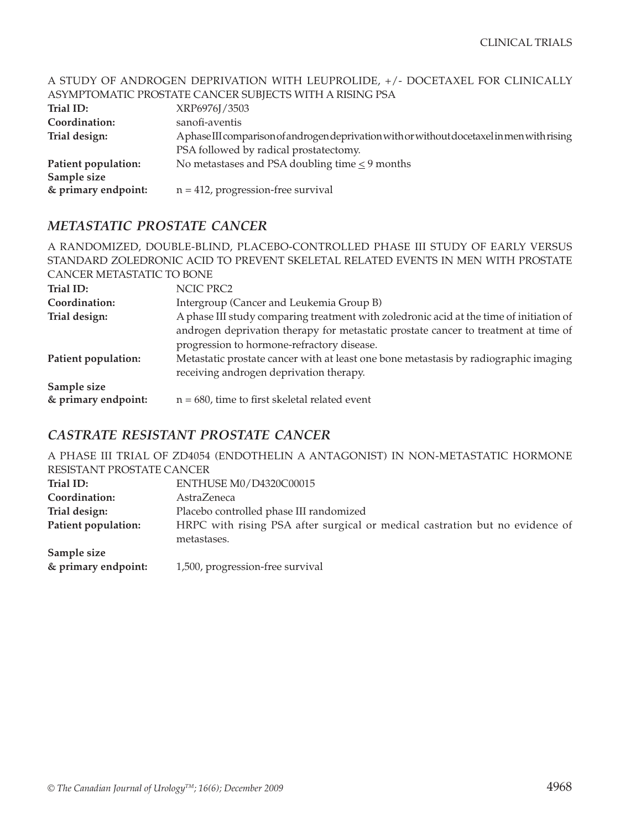#### A STUDY OF ANDROGEN DEPRIVATION WITH LEUPROLIDE, +/- DOCETAXEL FOR CLINICALLY ASYMPTOMATIC PROSTATE CANCER SUBJECTS WITH A RISING PSA **Trial ID:** XRP6976J/3503 **Coordination:** sanofi-aventis **Trial design:** A phase III comparison of androgen deprivation with or without docetaxel in men with rising PSA followed by radical prostatectomy. **Patient population:** No metastases and PSA doubling time  $\leq$  9 months **Sample size**

#### **& primary endpoint:** n = 412, progression-free survival

#### *METASTATIC PROSTATE CANCER*

A RANDOMIZED, DOUBLE-BLIND, PLACEBO-CONTROLLED PHASE III STUDY OF EARLY VERSUS STANDARD ZOLEDRONIC ACID TO PREVENT SKELETAL RELATED EVENTS IN MEN WITH PROSTATE CANCER METASTATIC TO BONE Trial ID: NCIC PRC2 **Coordination:** Intergroup (Cancer and Leukemia Group B) **Trial design:** A phase III study comparing treatment with zoledronic acid at the time of initiation of androgen deprivation therapy for metastatic prostate cancer to treatment at time of progression to hormone-refractory disease. **Patient population:** Metastatic prostate cancer with at least one bone metastasis by radiographic imaging receiving androgen deprivation therapy. **Sample size & primary endpoint:**  $n = 680$ , time to first skeletal related event

#### *CASTRATE RESISTANT PROSTATE CANCER*

A PHASE III TRIAL OF ZD4054 (ENDOTHELIN A ANTAGONIST) IN NON-METASTATIC HORMONE RESISTANT PROSTATE CANCER

| Trial ID:           | ENTHUSE M0/D4320C00015                                                       |
|---------------------|------------------------------------------------------------------------------|
| Coordination:       | AstraZeneca                                                                  |
| Trial design:       | Placebo controlled phase III randomized                                      |
| Patient population: | HRPC with rising PSA after surgical or medical castration but no evidence of |
|                     | metastases.                                                                  |
| Sample size         |                                                                              |
| & primary endpoint: | 1,500, progression-free survival                                             |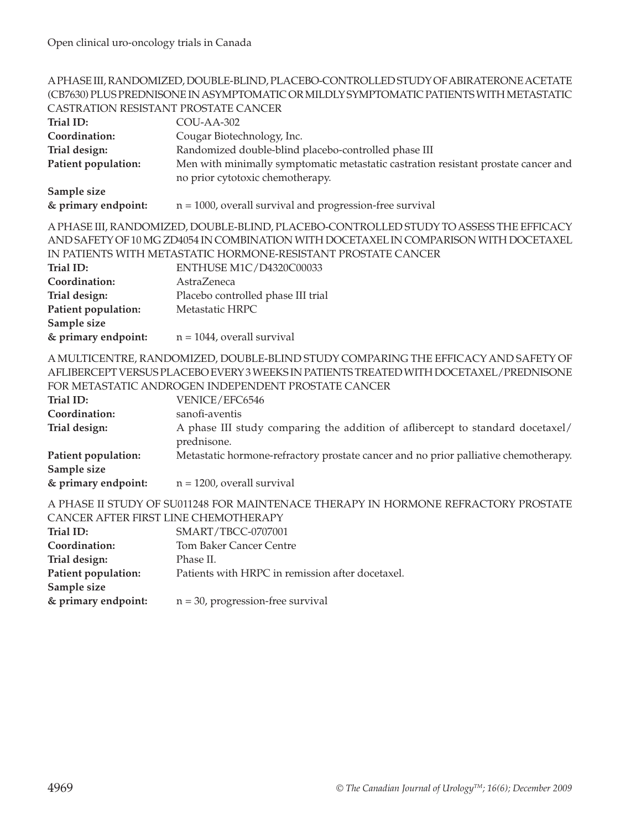#### A PHASE III, RANDOMIZED, DOUBLE-BLIND, PLACEBO-CONTROLLED STUDY OF ABIRATERONE ACETATE (CB7630) PLUS PREDNISONE IN ASYMPTOMATIC OR MILDLY SYMPTOMATIC PATIENTS WITH METASTATIC CASTRATION RESISTANT PROSTATE CANCER

| Trial ID:                                                                          | COU-AA-302                                                                             |  |
|------------------------------------------------------------------------------------|----------------------------------------------------------------------------------------|--|
| Coordination:                                                                      | Cougar Biotechnology, Inc.                                                             |  |
| Trial design:                                                                      | Randomized double-blind placebo-controlled phase III                                   |  |
| Patient population:                                                                | Men with minimally symptomatic metastatic castration resistant prostate cancer and     |  |
|                                                                                    | no prior cytotoxic chemotherapy.                                                       |  |
| Sample size                                                                        |                                                                                        |  |
| & primary endpoint:                                                                | $n = 1000$ , overall survival and progression-free survival                            |  |
|                                                                                    | A PHASE III, RANDOMIZED, DOUBLE-BLIND, PLACEBO-CONTROLLED STUDY TO ASSESS THE EFFICACY |  |
|                                                                                    | AND SAFETY OF 10 MG ZD4054 IN COMBINATION WITH DOCETAXEL IN COMPARISON WITH DOCETAXEL  |  |
|                                                                                    | IN PATIENTS WITH METASTATIC HORMONE-RESISTANT PROSTATE CANCER                          |  |
| Trial ID:                                                                          | ENTHUSE M1C/D4320C00033                                                                |  |
| Coordination:                                                                      | AstraZeneca                                                                            |  |
| Trial design:                                                                      | Placebo controlled phase III trial                                                     |  |
| Patient population:                                                                | Metastatic HRPC                                                                        |  |
| Sample size                                                                        |                                                                                        |  |
| & primary endpoint:                                                                | $n = 1044$ , overall survival                                                          |  |
|                                                                                    | A MULTICENTRE, RANDOMIZED, DOUBLE-BLIND STUDY COMPARING THE EFFICACY AND SAFETY OF     |  |
|                                                                                    | AFLIBERCEPT VERSUS PLACEBO EVERY 3 WEEKS IN PATIENTS TREATED WITH DOCETAXEL/PREDNISONE |  |
|                                                                                    | FOR METASTATIC ANDROGEN INDEPENDENT PROSTATE CANCER                                    |  |
| Trial ID:                                                                          | VENICE/EFC6546                                                                         |  |
| Coordination:                                                                      | sanofi-aventis                                                                         |  |
| Trial design:                                                                      | A phase III study comparing the addition of aflibercept to standard docetaxel/         |  |
|                                                                                    | prednisone.                                                                            |  |
| Patient population:                                                                | Metastatic hormone-refractory prostate cancer and no prior palliative chemotherapy.    |  |
| Sample size                                                                        |                                                                                        |  |
| & primary endpoint:                                                                | $n = 1200$ , overall survival                                                          |  |
| A PHASE II STUDY OF SU011248 FOR MAINTENACE THERAPY IN HORMONE REFRACTORY PROSTATE |                                                                                        |  |
| CANCER AFTER FIRST LINE CHEMOTHERAPY                                               |                                                                                        |  |
| Trial ID:                                                                          | SMART/TBCC-0707001                                                                     |  |
| Coordination:                                                                      | <b>Tom Baker Cancer Centre</b>                                                         |  |
| Trial design:                                                                      | Phase II.                                                                              |  |
| Patient population:                                                                | Patients with HRPC in remission after docetaxel.                                       |  |
| Sample size                                                                        |                                                                                        |  |
| & primary endpoint:                                                                | $n = 30$ , progression-free survival                                                   |  |